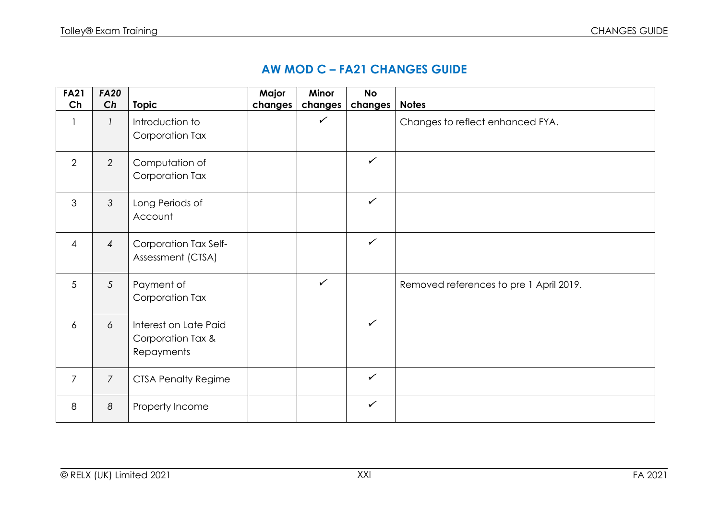## **AW MOD C – FA21 CHANGES GUIDE**

| <b>FA21</b>    | <b>FA20</b>    |                                                          | Major   | Minor        | <b>No</b>    |                                         |
|----------------|----------------|----------------------------------------------------------|---------|--------------|--------------|-----------------------------------------|
| Ch             | Ch             | <b>Topic</b>                                             | changes | changes      | changes      | <b>Notes</b>                            |
|                | $\mathcal{I}$  | Introduction to<br>Corporation Tax                       |         | $\checkmark$ |              | Changes to reflect enhanced FYA.        |
| $\overline{2}$ | $\overline{2}$ | Computation of<br>Corporation Tax                        |         |              | $\checkmark$ |                                         |
| 3              | 3              | Long Periods of<br>Account                               |         |              | $\checkmark$ |                                         |
| $\overline{4}$ | $\overline{4}$ | Corporation Tax Self-<br>Assessment (CTSA)               |         |              | $\checkmark$ |                                         |
| 5              | 5              | Payment of<br>Corporation Tax                            |         | $\checkmark$ |              | Removed references to pre 1 April 2019. |
| 6              | 6              | Interest on Late Paid<br>Corporation Tax &<br>Repayments |         |              | $\checkmark$ |                                         |
| $\overline{7}$ | $\overline{7}$ | <b>CTSA Penalty Regime</b>                               |         |              | $\checkmark$ |                                         |
| 8              | 8              | Property Income                                          |         |              | $\checkmark$ |                                         |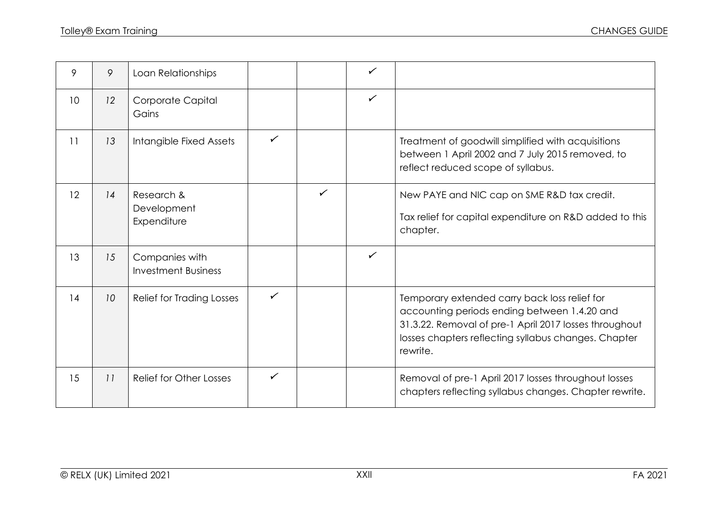| 9               | 9  | Loan Relationships                           |              |              | $\checkmark$ |                                                                                                                                                                                                                             |
|-----------------|----|----------------------------------------------|--------------|--------------|--------------|-----------------------------------------------------------------------------------------------------------------------------------------------------------------------------------------------------------------------------|
| 10 <sup>°</sup> | 12 | Corporate Capital<br>Gains                   |              |              | $\checkmark$ |                                                                                                                                                                                                                             |
| 11              | 13 | Intangible Fixed Assets                      | $\checkmark$ |              |              | Treatment of goodwill simplified with acquisitions<br>between 1 April 2002 and 7 July 2015 removed, to<br>reflect reduced scope of syllabus.                                                                                |
| 12              | 14 | Research &<br>Development<br>Expenditure     |              | $\checkmark$ |              | New PAYE and NIC cap on SME R&D tax credit.<br>Tax relief for capital expenditure on R&D added to this<br>chapter.                                                                                                          |
| 13              | 15 | Companies with<br><b>Investment Business</b> |              |              | $\checkmark$ |                                                                                                                                                                                                                             |
| 14              | 10 | Relief for Trading Losses                    | $\checkmark$ |              |              | Temporary extended carry back loss relief for<br>accounting periods ending between 1.4.20 and<br>31.3.22. Removal of pre-1 April 2017 losses throughout<br>losses chapters reflecting syllabus changes. Chapter<br>rewrite. |
| 15              | 11 | <b>Relief for Other Losses</b>               | ✓            |              |              | Removal of pre-1 April 2017 losses throughout losses<br>chapters reflecting syllabus changes. Chapter rewrite.                                                                                                              |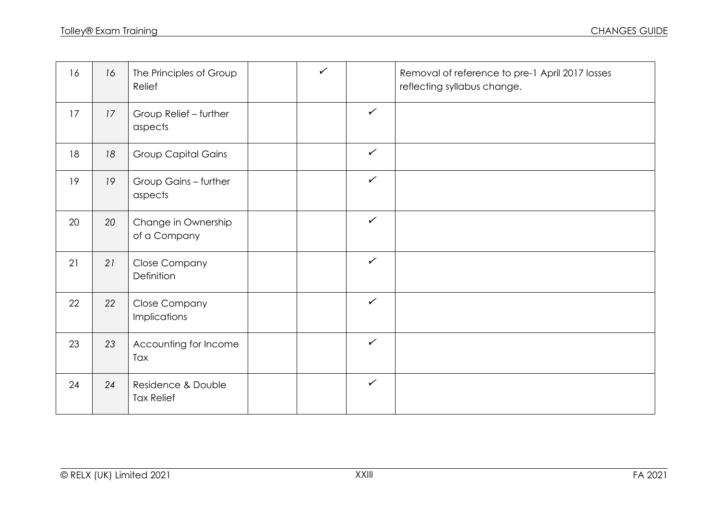| 16 | 16 | The Principles of Group<br>Relief           | $\checkmark$ |              | Removal of reference to pre-1 April 2017 losses<br>reflecting syllabus change. |
|----|----|---------------------------------------------|--------------|--------------|--------------------------------------------------------------------------------|
| 17 | 17 | Group Relief - further<br>aspects           |              | $\checkmark$ |                                                                                |
| 18 | 18 | <b>Group Capital Gains</b>                  |              | $\checkmark$ |                                                                                |
| 19 | 19 | Group Gains - further<br>aspects            |              | $\checkmark$ |                                                                                |
| 20 | 20 | Change in Ownership<br>of a Company         |              | $\checkmark$ |                                                                                |
| 21 | 21 | <b>Close Company</b><br>Definition          |              | $\checkmark$ |                                                                                |
| 22 | 22 | <b>Close Company</b><br><b>Implications</b> |              | $\checkmark$ |                                                                                |
| 23 | 23 | Accounting for Income<br>Tax                |              | $\checkmark$ |                                                                                |
| 24 | 24 | Residence & Double<br><b>Tax Relief</b>     |              | $\checkmark$ |                                                                                |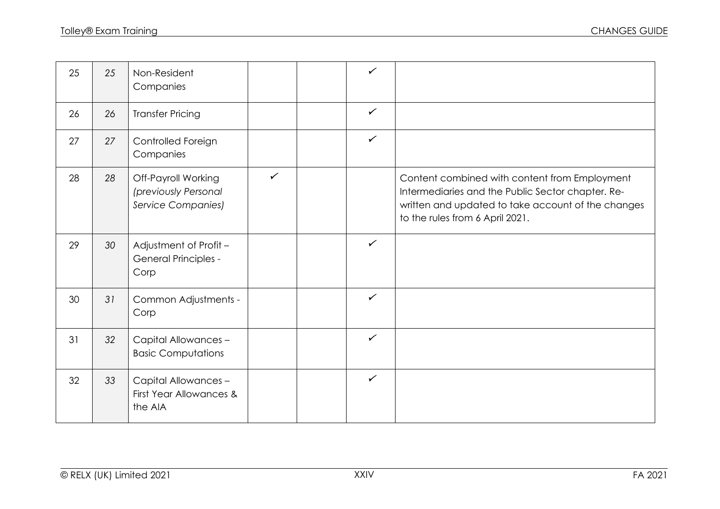| 25 | 25 | Non-Resident<br>Companies                                                |              | $\checkmark$ |                                                                                                                                                                                             |
|----|----|--------------------------------------------------------------------------|--------------|--------------|---------------------------------------------------------------------------------------------------------------------------------------------------------------------------------------------|
| 26 | 26 | <b>Transfer Pricing</b>                                                  |              | $\checkmark$ |                                                                                                                                                                                             |
| 27 | 27 | Controlled Foreign<br>Companies                                          |              | $\checkmark$ |                                                                                                                                                                                             |
| 28 | 28 | Off-Payroll Working<br>(previously Personal<br><b>Service Companies)</b> | $\checkmark$ |              | Content combined with content from Employment<br>Intermediaries and the Public Sector chapter. Re-<br>written and updated to take account of the changes<br>to the rules from 6 April 2021. |
| 29 | 30 | Adjustment of Profit -<br><b>General Principles -</b><br>Corp            |              | $\checkmark$ |                                                                                                                                                                                             |
| 30 | 31 | Common Adjustments -<br>Corp                                             |              | $\checkmark$ |                                                                                                                                                                                             |
| 31 | 32 | Capital Allowances -<br><b>Basic Computations</b>                        |              | ✓            |                                                                                                                                                                                             |
| 32 | 33 | Capital Allowances-<br>First Year Allowances &<br>the AIA                |              | $\checkmark$ |                                                                                                                                                                                             |